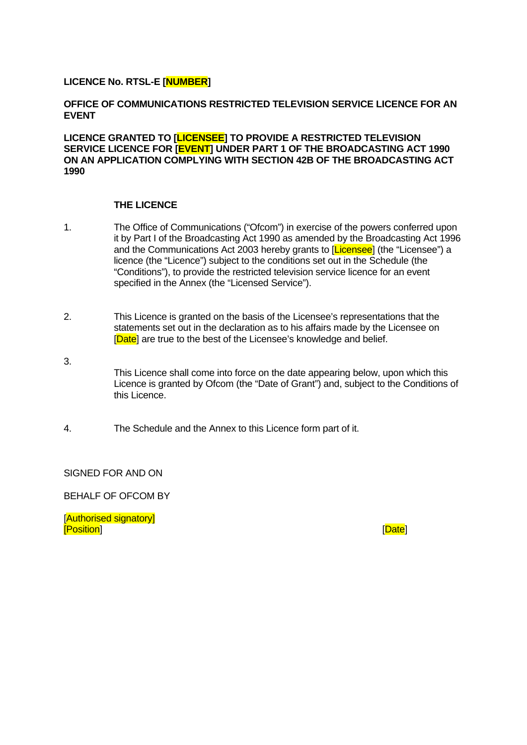#### **LICENCE No. RTSL-E [NUMBER]**

#### **OFFICE OF COMMUNICATIONS RESTRICTED TELEVISION SERVICE LICENCE FOR AN EVENT**

**LICENCE GRANTED TO [LICENSEE] TO PROVIDE A RESTRICTED TELEVISION SERVICE LICENCE FOR [EVENT] UNDER PART 1 OF THE BROADCASTING ACT 1990 ON AN APPLICATION COMPLYING WITH SECTION 42B OF THE BROADCASTING ACT 1990** 

#### **THE LICENCE**

- 1. The Office of Communications ("Ofcom") in exercise of the powers conferred upon it by Part I of the Broadcasting Act 1990 as amended by the Broadcasting Act 1996 and the Communications Act 2003 hereby grants to **[Licensee]** (the "Licensee") a licence (the "Licence") subject to the conditions set out in the Schedule (the "Conditions"), to provide the restricted television service licence for an event specified in the Annex (the "Licensed Service").
- 2. This Licence is granted on the basis of the Licensee's representations that the statements set out in the declaration as to his affairs made by the Licensee on [Date] are true to the best of the Licensee's knowledge and belief.
- 3.

This Licence shall come into force on the date appearing below, upon which this Licence is granted by Ofcom (the "Date of Grant") and, subject to the Conditions of this Licence.

4. The Schedule and the Annex to this Licence form part of it.

SIGNED FOR AND ON

BEHALF OF OFCOM BY

[Authorised signatory] [<mark>Position</mark>] <u>[Date</u>]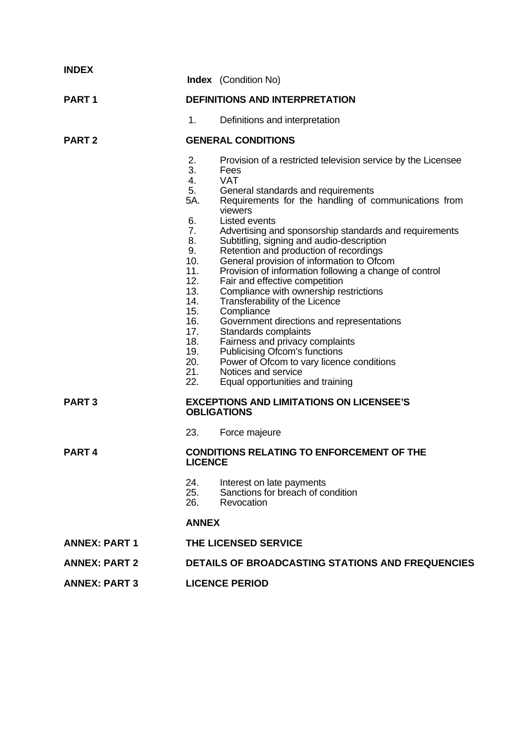| <b>INDEX</b>         |                                                                                                                                                | <b>Index</b> (Condition No)                                                                                                                                                                                                                                                                                                                                                                                                                                                                                                                                                                                                                                                                                                                                                                                                                       |  |  |  |
|----------------------|------------------------------------------------------------------------------------------------------------------------------------------------|---------------------------------------------------------------------------------------------------------------------------------------------------------------------------------------------------------------------------------------------------------------------------------------------------------------------------------------------------------------------------------------------------------------------------------------------------------------------------------------------------------------------------------------------------------------------------------------------------------------------------------------------------------------------------------------------------------------------------------------------------------------------------------------------------------------------------------------------------|--|--|--|
| <b>PART1</b>         | <b>DEFINITIONS AND INTERPRETATION</b>                                                                                                          |                                                                                                                                                                                                                                                                                                                                                                                                                                                                                                                                                                                                                                                                                                                                                                                                                                                   |  |  |  |
|                      | 1.                                                                                                                                             | Definitions and interpretation                                                                                                                                                                                                                                                                                                                                                                                                                                                                                                                                                                                                                                                                                                                                                                                                                    |  |  |  |
| <b>PART 2</b>        | <b>GENERAL CONDITIONS</b>                                                                                                                      |                                                                                                                                                                                                                                                                                                                                                                                                                                                                                                                                                                                                                                                                                                                                                                                                                                                   |  |  |  |
|                      | 2.<br>3.<br>4.<br>5.<br>5A.<br>6.<br>7.<br>8.<br>9.<br>10.<br>11.<br>12.<br>13.<br>14.<br>15.<br>16.<br>17.<br>18.<br>19.<br>20.<br>21.<br>22. | Provision of a restricted television service by the Licensee<br>Fees<br><b>VAT</b><br>General standards and requirements<br>Requirements for the handling of communications from<br>viewers<br>Listed events<br>Advertising and sponsorship standards and requirements<br>Subtitling, signing and audio-description<br>Retention and production of recordings<br>General provision of information to Ofcom<br>Provision of information following a change of control<br>Fair and effective competition<br>Compliance with ownership restrictions<br>Transferability of the Licence<br>Compliance<br>Government directions and representations<br>Standards complaints<br>Fairness and privacy complaints<br>Publicising Ofcom's functions<br>Power of Ofcom to vary licence conditions<br>Notices and service<br>Equal opportunities and training |  |  |  |
| <b>PART3</b>         |                                                                                                                                                | <b>EXCEPTIONS AND LIMITATIONS ON LICENSEE'S</b><br><b>OBLIGATIONS</b>                                                                                                                                                                                                                                                                                                                                                                                                                                                                                                                                                                                                                                                                                                                                                                             |  |  |  |
|                      | 23.                                                                                                                                            | Force majeure                                                                                                                                                                                                                                                                                                                                                                                                                                                                                                                                                                                                                                                                                                                                                                                                                                     |  |  |  |
| <b>PART4</b>         | LICENCE                                                                                                                                        | <b>CONDITIONS RELATING TO ENFORCEMENT OF THE</b>                                                                                                                                                                                                                                                                                                                                                                                                                                                                                                                                                                                                                                                                                                                                                                                                  |  |  |  |
|                      | 24.<br>25.<br>26.                                                                                                                              | Interest on late payments<br>Sanctions for breach of condition<br>Revocation                                                                                                                                                                                                                                                                                                                                                                                                                                                                                                                                                                                                                                                                                                                                                                      |  |  |  |
|                      | <b>ANNEX</b>                                                                                                                                   |                                                                                                                                                                                                                                                                                                                                                                                                                                                                                                                                                                                                                                                                                                                                                                                                                                                   |  |  |  |
| <b>ANNEX: PART 1</b> | THE LICENSED SERVICE                                                                                                                           |                                                                                                                                                                                                                                                                                                                                                                                                                                                                                                                                                                                                                                                                                                                                                                                                                                                   |  |  |  |
| <b>ANNEX: PART 2</b> | <b>DETAILS OF BROADCASTING STATIONS AND FREQUENCIES</b>                                                                                        |                                                                                                                                                                                                                                                                                                                                                                                                                                                                                                                                                                                                                                                                                                                                                                                                                                                   |  |  |  |
| <b>ANNEX: PART 3</b> |                                                                                                                                                | <b>LICENCE PERIOD</b>                                                                                                                                                                                                                                                                                                                                                                                                                                                                                                                                                                                                                                                                                                                                                                                                                             |  |  |  |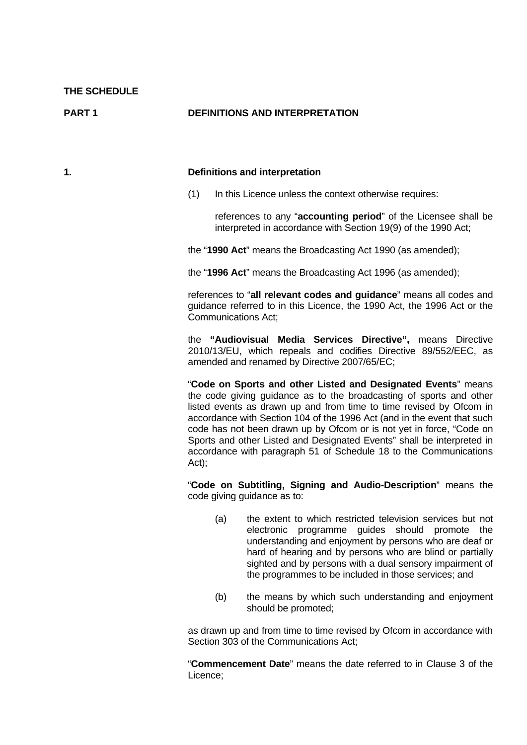**PART 1** DEFINITIONS AND INTERPRETATION

#### **1. Definitions and interpretation**

(1) In this Licence unless the context otherwise requires:

 references to any "**accounting period**" of the Licensee shall be interpreted in accordance with Section 19(9) of the 1990 Act;

the "**1990 Act**" means the Broadcasting Act 1990 (as amended);

the "**1996 Act**" means the Broadcasting Act 1996 (as amended);

references to "**all relevant codes and guidance**" means all codes and guidance referred to in this Licence, the 1990 Act, the 1996 Act or the Communications Act;

the **"Audiovisual Media Services Directive",** means Directive 2010/13/EU, which repeals and codifies Directive 89/552/EEC, as amended and renamed by Directive 2007/65/EC;

 "**Code on Sports and other Listed and Designated Events**" means the code giving guidance as to the broadcasting of sports and other listed events as drawn up and from time to time revised by Ofcom in accordance with Section 104 of the 1996 Act (and in the event that such code has not been drawn up by Ofcom or is not yet in force, "Code on Sports and other Listed and Designated Events" shall be interpreted in accordance with paragraph 51 of Schedule 18 to the Communications Act);

"**Code on Subtitling, Signing and Audio-Description**" means the code giving guidance as to:

- (a) the extent to which restricted television services but not electronic programme guides should promote the understanding and enjoyment by persons who are deaf or hard of hearing and by persons who are blind or partially sighted and by persons with a dual sensory impairment of the programmes to be included in those services; and
- (b) the means by which such understanding and enjoyment should be promoted;

 as drawn up and from time to time revised by Ofcom in accordance with Section 303 of the Communications Act;

 "**Commencement Date**" means the date referred to in Clause 3 of the Licence;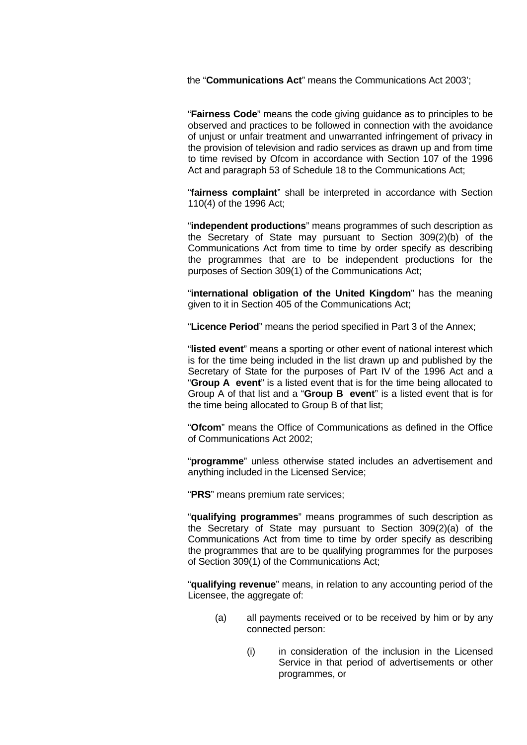the "**Communications Act**" means the Communications Act 2003';

"**Fairness Code**" means the code giving guidance as to principles to be observed and practices to be followed in connection with the avoidance of unjust or unfair treatment and unwarranted infringement of privacy in the provision of television and radio services as drawn up and from time to time revised by Ofcom in accordance with Section 107 of the 1996 Act and paragraph 53 of Schedule 18 to the Communications Act;

 "**fairness complaint**" shall be interpreted in accordance with Section 110(4) of the 1996 Act;

 "**independent productions**" means programmes of such description as the Secretary of State may pursuant to Section 309(2)(b) of the Communications Act from time to time by order specify as describing the programmes that are to be independent productions for the purposes of Section 309(1) of the Communications Act;

 "**international obligation of the United Kingdom**" has the meaning given to it in Section 405 of the Communications Act;

"**Licence Period**" means the period specified in Part 3 of the Annex;

 "**listed event**" means a sporting or other event of national interest which is for the time being included in the list drawn up and published by the Secretary of State for the purposes of Part IV of the 1996 Act and a "**Group A event**" is a listed event that is for the time being allocated to Group A of that list and a "**Group B event**" is a listed event that is for the time being allocated to Group B of that list;

 "**Ofcom**" means the Office of Communications as defined in the Office of Communications Act 2002;

 "**programme**" unless otherwise stated includes an advertisement and anything included in the Licensed Service;

"**PRS**" means premium rate services;

 "**qualifying programmes**" means programmes of such description as the Secretary of State may pursuant to Section 309(2)(a) of the Communications Act from time to time by order specify as describing the programmes that are to be qualifying programmes for the purposes of Section 309(1) of the Communications Act;

 "**qualifying revenue**" means, in relation to any accounting period of the Licensee, the aggregate of:

- (a) all payments received or to be received by him or by any connected person:
	- (i) in consideration of the inclusion in the Licensed Service in that period of advertisements or other programmes, or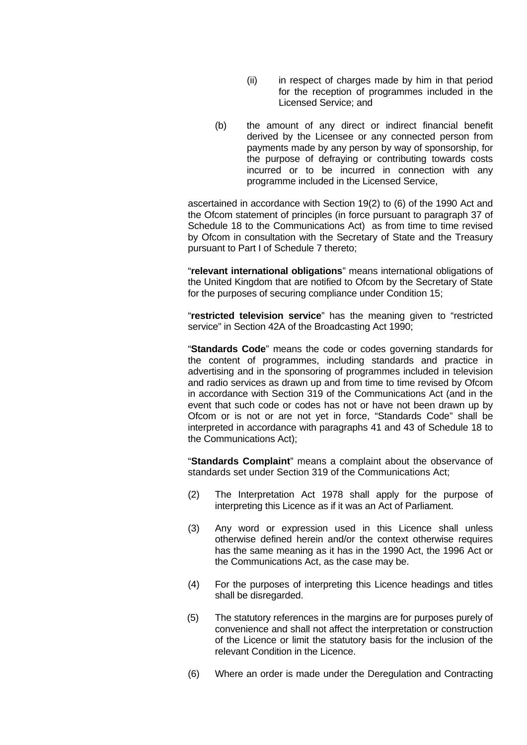- (ii) in respect of charges made by him in that period for the reception of programmes included in the Licensed Service; and
- (b) the amount of any direct or indirect financial benefit derived by the Licensee or any connected person from payments made by any person by way of sponsorship, for the purpose of defraying or contributing towards costs incurred or to be incurred in connection with any programme included in the Licensed Service,

 ascertained in accordance with Section 19(2) to (6) of the 1990 Act and the Ofcom statement of principles (in force pursuant to paragraph 37 of Schedule 18 to the Communications Act) as from time to time revised by Ofcom in consultation with the Secretary of State and the Treasury pursuant to Part I of Schedule 7 thereto;

 "**relevant international obligations**" means international obligations of the United Kingdom that are notified to Ofcom by the Secretary of State for the purposes of securing compliance under Condition 15;

 "**restricted television service**" has the meaning given to "restricted service" in Section 42A of the Broadcasting Act 1990;

 "**Standards Code**" means the code or codes governing standards for the content of programmes, including standards and practice in advertising and in the sponsoring of programmes included in television and radio services as drawn up and from time to time revised by Ofcom in accordance with Section 319 of the Communications Act (and in the event that such code or codes has not or have not been drawn up by Ofcom or is not or are not yet in force, "Standards Code" shall be interpreted in accordance with paragraphs 41 and 43 of Schedule 18 to the Communications Act);

 "**Standards Complaint**" means a complaint about the observance of standards set under Section 319 of the Communications Act;

- (2) The Interpretation Act 1978 shall apply for the purpose of interpreting this Licence as if it was an Act of Parliament.
- (3) Any word or expression used in this Licence shall unless otherwise defined herein and/or the context otherwise requires has the same meaning as it has in the 1990 Act, the 1996 Act or the Communications Act, as the case may be.
- (4) For the purposes of interpreting this Licence headings and titles shall be disregarded.
- (5) The statutory references in the margins are for purposes purely of convenience and shall not affect the interpretation or construction of the Licence or limit the statutory basis for the inclusion of the relevant Condition in the Licence.
- (6) Where an order is made under the Deregulation and Contracting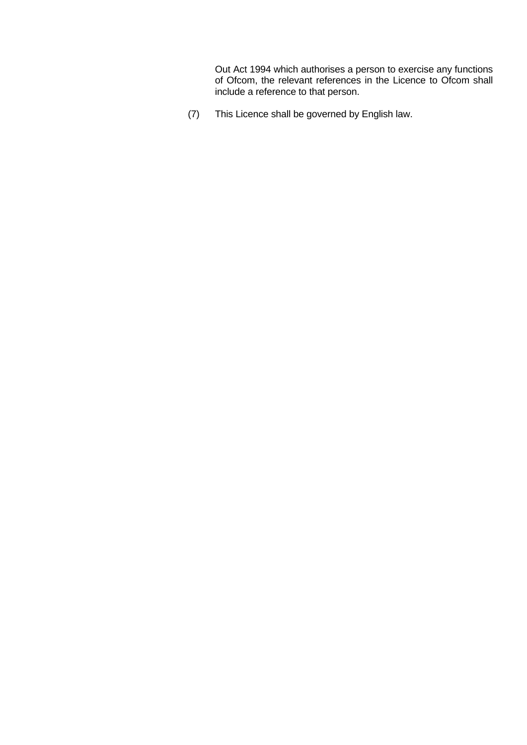Out Act 1994 which authorises a person to exercise any functions of Ofcom, the relevant references in the Licence to Ofcom shall include a reference to that person.

(7) This Licence shall be governed by English law.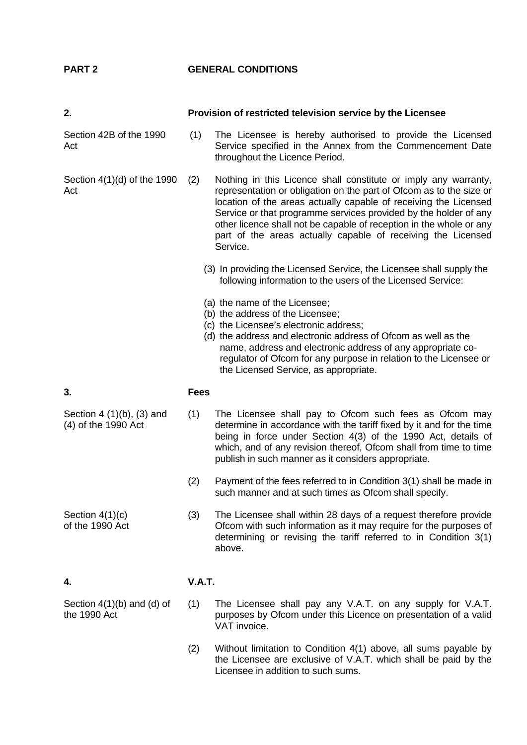**PART 2 GENERAL CONDITIONS** 

Section 42B of the 1990 Act

Section 4(1)(d) of the 1990 Act

**2. Provision of restricted television service by the Licensee**

 (1) The Licensee is hereby authorised to provide the Licensed Service specified in the Annex from the Commencement Date throughout the Licence Period.

(2) Nothing in this Licence shall constitute or imply any warranty, representation or obligation on the part of Ofcom as to the size or location of the areas actually capable of receiving the Licensed Service or that programme services provided by the holder of any other licence shall not be capable of reception in the whole or any part of the areas actually capable of receiving the Licensed Service.

- (3) In providing the Licensed Service, the Licensee shall supply the following information to the users of the Licensed Service:
- (a) the name of the Licensee;
- (b) the address of the Licensee;
- (c) the Licensee's electronic address;
- (d) the address and electronic address of Ofcom as well as the name, address and electronic address of any appropriate coregulator of Ofcom for any purpose in relation to the Licensee or the Licensed Service, as appropriate.

#### **3. Fees**

- (1) The Licensee shall pay to Ofcom such fees as Ofcom may determine in accordance with the tariff fixed by it and for the time being in force under Section 4(3) of the 1990 Act, details of which, and of any revision thereof, Ofcom shall from time to time publish in such manner as it considers appropriate.
	- (2) Payment of the fees referred to in Condition 3(1) shall be made in such manner and at such times as Ofcom shall specify.
	- (3) The Licensee shall within 28 days of a request therefore provide Ofcom with such information as it may require for the purposes of determining or revising the tariff referred to in Condition 3(1) above.

### **4. V.A.T.**

Section 4(1)(b) and (d) of the 1990 Act

- (1) The Licensee shall pay any V.A.T. on any supply for V.A.T. purposes by Ofcom under this Licence on presentation of a valid VAT invoice.
	- (2) Without limitation to Condition 4(1) above, all sums payable by the Licensee are exclusive of V.A.T. which shall be paid by the Licensee in addition to such sums.

- Section 4 (1)(b), (3) and (4) of the 1990 Act
- Section 4(1)(c)

of the 1990 Act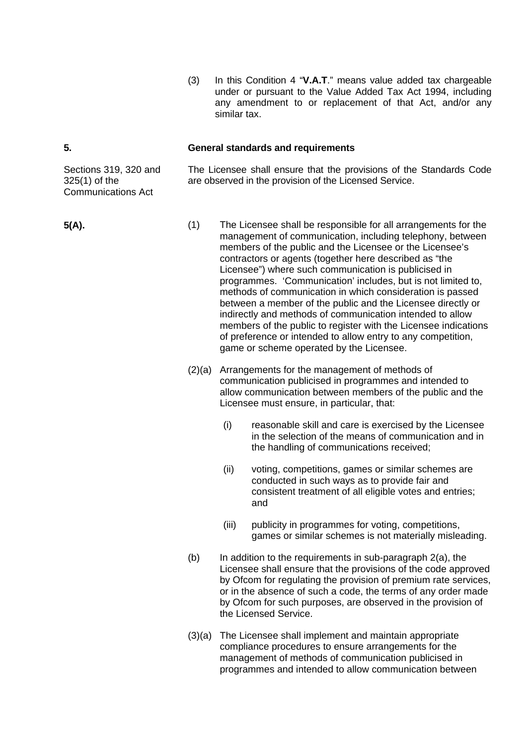(3) In this Condition 4 "**V.A.T**." means value added tax chargeable under or pursuant to the Value Added Tax Act 1994, including any amendment to or replacement of that Act, and/or any similar tax.

#### **5. General standards and requirements**

The Licensee shall ensure that the provisions of the Standards Code are observed in the provision of the Licensed Service.

- **5(A).** (1) The Licensee shall be responsible for all arrangements for the management of communication, including telephony, between members of the public and the Licensee or the Licensee's contractors or agents (together here described as "the Licensee") where such communication is publicised in programmes. 'Communication' includes, but is not limited to, methods of communication in which consideration is passed between a member of the public and the Licensee directly or indirectly and methods of communication intended to allow members of the public to register with the Licensee indications of preference or intended to allow entry to any competition, game or scheme operated by the Licensee.
	- (2)(a) Arrangements for the management of methods of communication publicised in programmes and intended to allow communication between members of the public and the Licensee must ensure, in particular, that:
		- (i) reasonable skill and care is exercised by the Licensee in the selection of the means of communication and in the handling of communications received;
		- (ii) voting, competitions, games or similar schemes are conducted in such ways as to provide fair and consistent treatment of all eligible votes and entries; and
		- (iii) publicity in programmes for voting, competitions, games or similar schemes is not materially misleading.
	- $(b)$  In addition to the requirements in sub-paragraph  $2(a)$ , the Licensee shall ensure that the provisions of the code approved by Ofcom for regulating the provision of premium rate services, or in the absence of such a code, the terms of any order made by Ofcom for such purposes, are observed in the provision of the Licensed Service.
	- (3)(a) The Licensee shall implement and maintain appropriate compliance procedures to ensure arrangements for the management of methods of communication publicised in programmes and intended to allow communication between

Sections 319, 320 and 325(1) of the Communications Act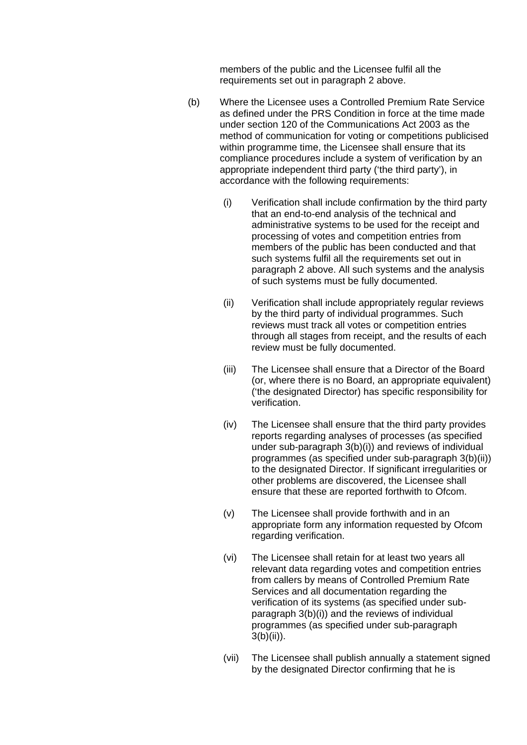members of the public and the Licensee fulfil all the requirements set out in paragraph 2 above.

- (b) Where the Licensee uses a Controlled Premium Rate Service as defined under the PRS Condition in force at the time made under section 120 of the Communications Act 2003 as the method of communication for voting or competitions publicised within programme time, the Licensee shall ensure that its compliance procedures include a system of verification by an appropriate independent third party ('the third party'), in accordance with the following requirements:
	- (i) Verification shall include confirmation by the third party that an end-to-end analysis of the technical and administrative systems to be used for the receipt and processing of votes and competition entries from members of the public has been conducted and that such systems fulfil all the requirements set out in paragraph 2 above. All such systems and the analysis of such systems must be fully documented.
	- (ii) Verification shall include appropriately regular reviews by the third party of individual programmes. Such reviews must track all votes or competition entries through all stages from receipt, and the results of each review must be fully documented.
	- (iii) The Licensee shall ensure that a Director of the Board (or, where there is no Board, an appropriate equivalent) ('the designated Director) has specific responsibility for verification.
	- (iv) The Licensee shall ensure that the third party provides reports regarding analyses of processes (as specified under sub-paragraph 3(b)(i)) and reviews of individual programmes (as specified under sub-paragraph 3(b)(ii)) to the designated Director. If significant irregularities or other problems are discovered, the Licensee shall ensure that these are reported forthwith to Ofcom.
	- (v) The Licensee shall provide forthwith and in an appropriate form any information requested by Ofcom regarding verification.
	- (vi) The Licensee shall retain for at least two years all relevant data regarding votes and competition entries from callers by means of Controlled Premium Rate Services and all documentation regarding the verification of its systems (as specified under subparagraph 3(b)(i)) and the reviews of individual programmes (as specified under sub-paragraph  $3(b)(ii)$ ).
	- (vii) The Licensee shall publish annually a statement signed by the designated Director confirming that he is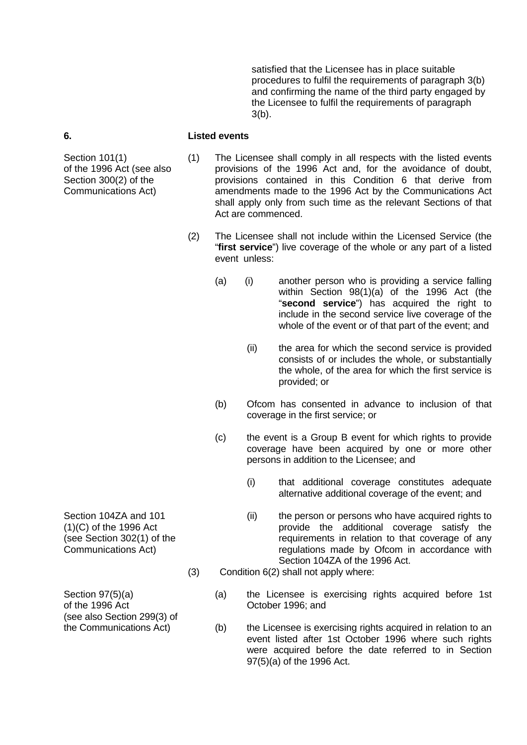satisfied that the Licensee has in place suitable procedures to fulfil the requirements of paragraph 3(b) and confirming the name of the third party engaged by the Licensee to fulfil the requirements of paragraph 3(b).

#### **6. Listed events**

Section 101(1) of the 1996 Act (see also Section 300(2) of the Communications Act)

- (1) The Licensee shall comply in all respects with the listed events provisions of the 1996 Act and, for the avoidance of doubt, provisions contained in this Condition 6 that derive from amendments made to the 1996 Act by the Communications Act shall apply only from such time as the relevant Sections of that Act are commenced.
- (2) The Licensee shall not include within the Licensed Service (the "**first service**") live coverage of the whole or any part of a listed event unless:
	- (a) (i) another person who is providing a service falling within Section 98(1)(a) of the 1996 Act (the "**second service**") has acquired the right to include in the second service live coverage of the whole of the event or of that part of the event; and
		- (ii) the area for which the second service is provided consists of or includes the whole, or substantially the whole, of the area for which the first service is provided; or
	- (b) Ofcom has consented in advance to inclusion of that coverage in the first service; or
	- (c) the event is a Group B event for which rights to provide coverage have been acquired by one or more other persons in addition to the Licensee; and
		- (i) that additional coverage constitutes adequate alternative additional coverage of the event; and
		- (ii) the person or persons who have acquired rights to provide the additional coverage satisfy the requirements in relation to that coverage of any regulations made by Ofcom in accordance with Section 104ZA of the 1996 Act.
- (3) Condition 6(2) shall not apply where:
	- (a) the Licensee is exercising rights acquired before 1st October 1996; and
	- (b) the Licensee is exercising rights acquired in relation to an event listed after 1st October 1996 where such rights were acquired before the date referred to in Section 97(5)(a) of the 1996 Act.

Section 104ZA and 101 (1)(C) of the 1996 Act (see Section 302(1) of the Communications Act)

Section 97(5)(a) of the 1996 Act (see also Section 299(3) of the Communications Act)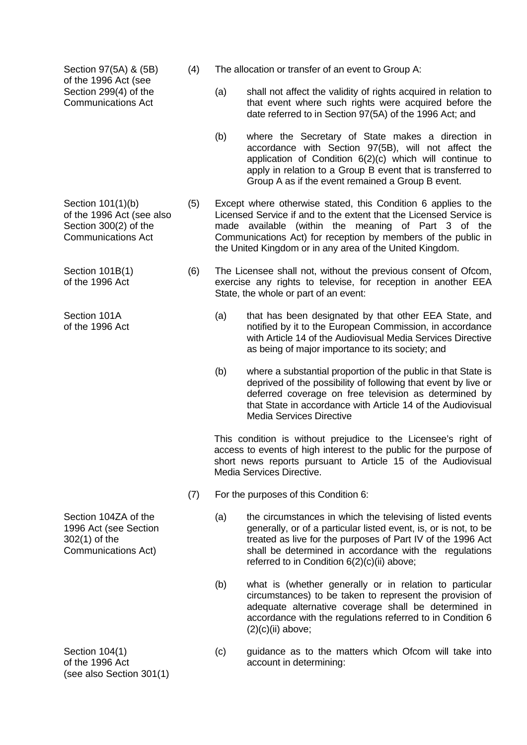Section 97(5A) & (5B) of the 1996 Act (see Section 299(4) of the Communications Act

Section 101(1)(b) of the 1996 Act (see also Section 300(2) of the Communications Act

Section 101B(1) of the 1996 Act

Section 101A of the 1996 Act

Section 104ZA of the 1996 Act (see Section 302(1) of the Communications Act)

Section 104(1) of the 1996 Act (see also Section 301(1)

- (4) The allocation or transfer of an event to Group A:
	- (a) shall not affect the validity of rights acquired in relation to that event where such rights were acquired before the date referred to in Section 97(5A) of the 1996 Act; and
	- (b) where the Secretary of State makes a direction in accordance with Section 97(5B), will not affect the application of Condition 6(2)(c) which will continue to apply in relation to a Group B event that is transferred to Group A as if the event remained a Group B event.
- (5) Except where otherwise stated, this Condition 6 applies to the Licensed Service if and to the extent that the Licensed Service is made available (within the meaning of Part 3 of the Communications Act) for reception by members of the public in the United Kingdom or in any area of the United Kingdom.
- (6) The Licensee shall not, without the previous consent of Ofcom, exercise any rights to televise, for reception in another EEA State, the whole or part of an event:
	- (a) that has been designated by that other EEA State, and notified by it to the European Commission, in accordance with Article 14 of the Audiovisual Media Services Directive as being of major importance to its society; and
	- (b) where a substantial proportion of the public in that State is deprived of the possibility of following that event by live or deferred coverage on free television as determined by that State in accordance with Article 14 of the Audiovisual Media Services Directive

This condition is without prejudice to the Licensee's right of access to events of high interest to the public for the purpose of short news reports pursuant to Article 15 of the Audiovisual Media Services Directive.

- (7) For the purposes of this Condition 6:
	- (a) the circumstances in which the televising of listed events generally, or of a particular listed event, is, or is not, to be treated as live for the purposes of Part IV of the 1996 Act shall be determined in accordance with the regulations referred to in Condition 6(2)(c)(ii) above;
	- (b) what is (whether generally or in relation to particular circumstances) to be taken to represent the provision of adequate alternative coverage shall be determined in accordance with the regulations referred to in Condition 6  $(2)(c)(ii)$  above;
	- (c) guidance as to the matters which Ofcom will take into account in determining: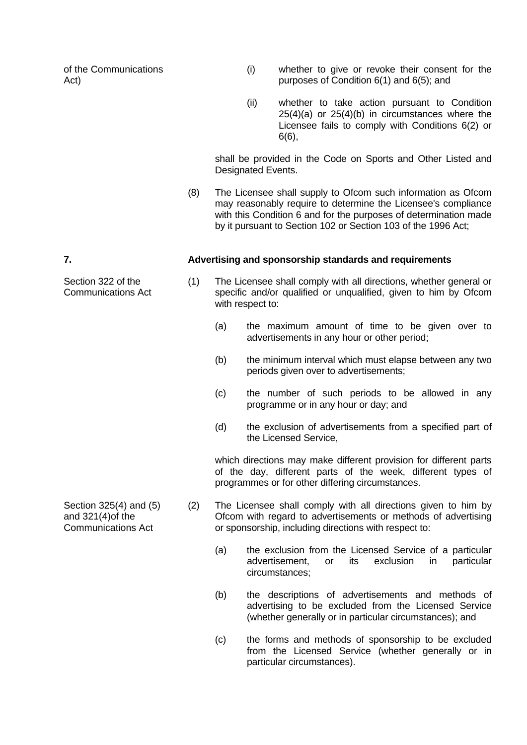of the Communications Act)

- (i) whether to give or revoke their consent for the purposes of Condition 6(1) and 6(5); and
- (ii) whether to take action pursuant to Condition 25(4)(a) or 25(4)(b) in circumstances where the Licensee fails to comply with Conditions 6(2) or 6(6),

 shall be provided in the Code on Sports and Other Listed and Designated Events.

 (8) The Licensee shall supply to Ofcom such information as Ofcom may reasonably require to determine the Licensee's compliance with this Condition 6 and for the purposes of determination made by it pursuant to Section 102 or Section 103 of the 1996 Act;

#### **7. Advertising and sponsorship standards and requirements**

- (1) The Licensee shall comply with all directions, whether general or specific and/or qualified or unqualified, given to him by Ofcom with respect to:
	- (a) the maximum amount of time to be given over to advertisements in any hour or other period;
	- (b) the minimum interval which must elapse between any two periods given over to advertisements;
	- (c) the number of such periods to be allowed in any programme or in any hour or day; and
	- (d) the exclusion of advertisements from a specified part of the Licensed Service,

 which directions may make different provision for different parts of the day, different parts of the week, different types of programmes or for other differing circumstances.

- (2) The Licensee shall comply with all directions given to him by Ofcom with regard to advertisements or methods of advertising or sponsorship, including directions with respect to:
	- (a) the exclusion from the Licensed Service of a particular advertisement, or its exclusion in particular circumstances;
	- (b) the descriptions of advertisements and methods of advertising to be excluded from the Licensed Service (whether generally or in particular circumstances); and
	- (c) the forms and methods of sponsorship to be excluded from the Licensed Service (whether generally or in particular circumstances).

Section 325(4) and (5) and 321(4)of the Communications Act

Section 322 of the Communications Act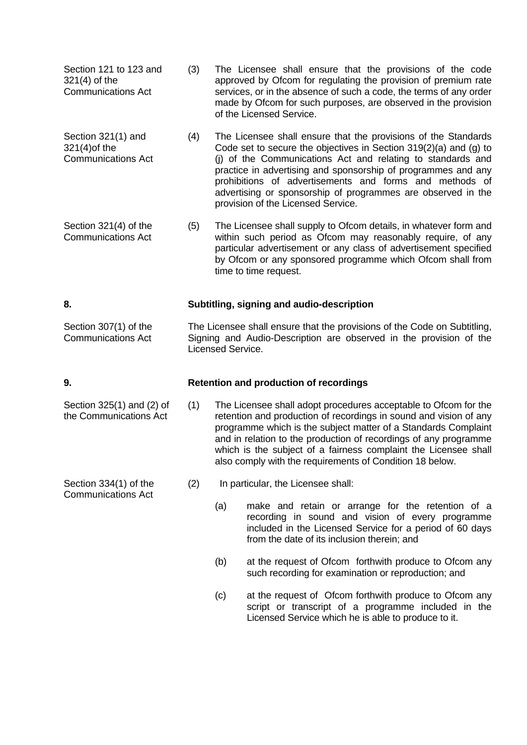| Section 121 to 123 and    | (3) | The Licensee shall ensure that the provisions of the code                                                                                                        |
|---------------------------|-----|------------------------------------------------------------------------------------------------------------------------------------------------------------------|
| $321(4)$ of the           |     | approved by Ofcom for regulating the provision of premium rate                                                                                                   |
| <b>Communications Act</b> |     | services, or in the absence of such a code, the terms of any order<br>made by Ofcom for such purposes, are observed in the provision<br>of the Licensed Service. |

- Section 321(1) and 321(4)of the Communications Act (4) The Licensee shall ensure that the provisions of the Standards Code set to secure the objectives in Section 319(2)(a) and (g) to (j) of the Communications Act and relating to standards and practice in advertising and sponsorship of programmes and any prohibitions of advertisements and forms and methods of advertising or sponsorship of programmes are observed in the provision of the Licensed Service.
- Section 321(4) of the Communications Act (5) The Licensee shall supply to Ofcom details, in whatever form and within such period as Ofcom may reasonably require, of any particular advertisement or any class of advertisement specified by Ofcom or any sponsored programme which Ofcom shall from time to time request.

#### **8. Subtitling, signing and audio-description**

Section 307(1) of the Communications Act The Licensee shall ensure that the provisions of the Code on Subtitling, Signing and Audio-Description are observed in the provision of the Licensed Service.

#### **9. Retention and production of recordings**

- (1) The Licensee shall adopt procedures acceptable to Ofcom for the retention and production of recordings in sound and vision of any programme which is the subject matter of a Standards Complaint and in relation to the production of recordings of any programme which is the subject of a fairness complaint the Licensee shall also comply with the requirements of Condition 18 below.
	- (2) In particular, the Licensee shall:
		- (a) make and retain or arrange for the retention of a recording in sound and vision of every programme included in the Licensed Service for a period of 60 days from the date of its inclusion therein; and
		- (b) at the request of Ofcom forthwith produce to Ofcom any such recording for examination or reproduction; and
		- (c) at the request of Ofcom forthwith produce to Ofcom any script or transcript of a programme included in the Licensed Service which he is able to produce to it.

Section 325(1) and (2) of the Communications Act

Section 334(1) of the Communications Act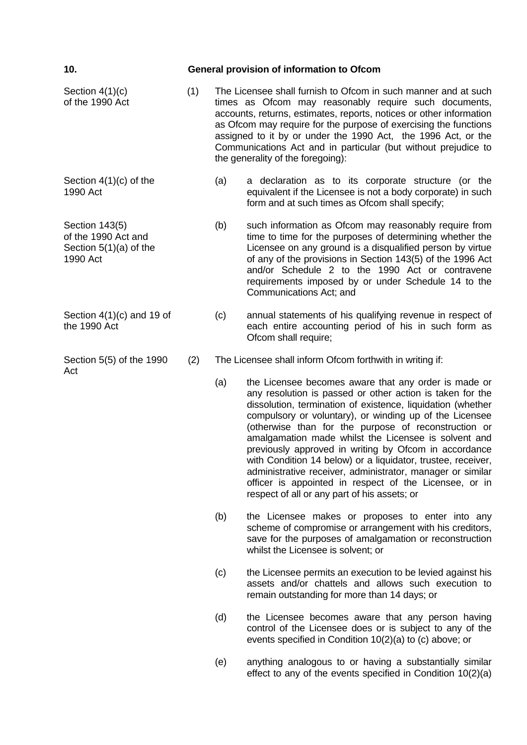| 10.                                                                           |     | General provision of information to Ofcom                                                                                                                                                                                                                                                                                                                                                                                                  |                                                                                                                                                                                                                                                                                                                                                                                                                                                                                                                                                                                                                                                              |  |
|-------------------------------------------------------------------------------|-----|--------------------------------------------------------------------------------------------------------------------------------------------------------------------------------------------------------------------------------------------------------------------------------------------------------------------------------------------------------------------------------------------------------------------------------------------|--------------------------------------------------------------------------------------------------------------------------------------------------------------------------------------------------------------------------------------------------------------------------------------------------------------------------------------------------------------------------------------------------------------------------------------------------------------------------------------------------------------------------------------------------------------------------------------------------------------------------------------------------------------|--|
| Section $4(1)(c)$<br>of the 1990 Act                                          | (1) | The Licensee shall furnish to Ofcom in such manner and at such<br>times as Ofcom may reasonably require such documents,<br>accounts, returns, estimates, reports, notices or other information<br>as Ofcom may require for the purpose of exercising the functions<br>assigned to it by or under the 1990 Act, the 1996 Act, or the<br>Communications Act and in particular (but without prejudice to<br>the generality of the foregoing): |                                                                                                                                                                                                                                                                                                                                                                                                                                                                                                                                                                                                                                                              |  |
| Section $4(1)(c)$ of the<br>1990 Act                                          |     | (a)                                                                                                                                                                                                                                                                                                                                                                                                                                        | a declaration as to its corporate structure (or the<br>equivalent if the Licensee is not a body corporate) in such<br>form and at such times as Ofcom shall specify;                                                                                                                                                                                                                                                                                                                                                                                                                                                                                         |  |
| Section 143(5)<br>of the 1990 Act and<br>Section $5(1)(a)$ of the<br>1990 Act |     | (b)                                                                                                                                                                                                                                                                                                                                                                                                                                        | such information as Ofcom may reasonably require from<br>time to time for the purposes of determining whether the<br>Licensee on any ground is a disqualified person by virtue<br>of any of the provisions in Section 143(5) of the 1996 Act<br>and/or Schedule 2 to the 1990 Act or contravene<br>requirements imposed by or under Schedule 14 to the<br>Communications Act; and                                                                                                                                                                                                                                                                            |  |
| Section $4(1)(c)$ and 19 of<br>the 1990 Act                                   |     | (c)                                                                                                                                                                                                                                                                                                                                                                                                                                        | annual statements of his qualifying revenue in respect of<br>each entire accounting period of his in such form as<br>Ofcom shall require;                                                                                                                                                                                                                                                                                                                                                                                                                                                                                                                    |  |
| Section 5(5) of the 1990                                                      | (2) |                                                                                                                                                                                                                                                                                                                                                                                                                                            | The Licensee shall inform Ofcom forthwith in writing if:                                                                                                                                                                                                                                                                                                                                                                                                                                                                                                                                                                                                     |  |
| Act                                                                           |     | (a)                                                                                                                                                                                                                                                                                                                                                                                                                                        | the Licensee becomes aware that any order is made or<br>any resolution is passed or other action is taken for the<br>dissolution, termination of existence, liquidation (whether<br>compulsory or voluntary), or winding up of the Licensee<br>(otherwise than for the purpose of reconstruction or<br>amalgamation made whilst the Licensee is solvent and<br>previously approved in writing by Ofcom in accordance<br>with Condition 14 below) or a liquidator, trustee, receiver,<br>administrative receiver, administrator, manager or similar<br>officer is appointed in respect of the Licensee, or in<br>respect of all or any part of his assets; or |  |
|                                                                               |     | (b)                                                                                                                                                                                                                                                                                                                                                                                                                                        | the Licensee makes or proposes to enter into any<br>scheme of compromise or arrangement with his creditors,<br>save for the purposes of amalgamation or reconstruction<br>whilst the Licensee is solvent; or                                                                                                                                                                                                                                                                                                                                                                                                                                                 |  |
|                                                                               |     | (c)                                                                                                                                                                                                                                                                                                                                                                                                                                        | the Licensee permits an execution to be levied against his<br>assets and/or chattels and allows such execution to<br>remain outstanding for more than 14 days; or                                                                                                                                                                                                                                                                                                                                                                                                                                                                                            |  |

- (d) the Licensee becomes aware that any person having control of the Licensee does or is subject to any of the events specified in Condition 10(2)(a) to (c) above; or
- (e) anything analogous to or having a substantially similar effect to any of the events specified in Condition 10(2)(a)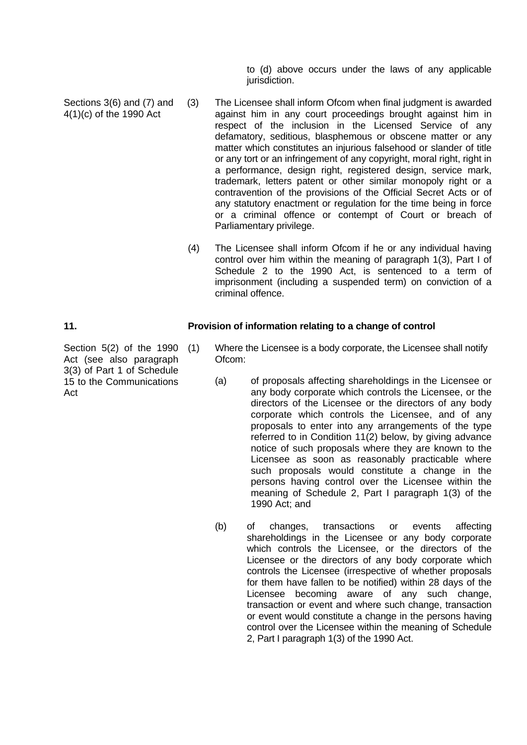to (d) above occurs under the laws of any applicable jurisdiction.

- Sections 3(6) and (7) and 4(1)(c) of the 1990 Act (3) The Licensee shall inform Ofcom when final judgment is awarded against him in any court proceedings brought against him in respect of the inclusion in the Licensed Service of any defamatory, seditious, blasphemous or obscene matter or any matter which constitutes an injurious falsehood or slander of title or any tort or an infringement of any copyright, moral right, right in a performance, design right, registered design, service mark, trademark, letters patent or other similar monopoly right or a contravention of the provisions of the Official Secret Acts or of any statutory enactment or regulation for the time being in force or a criminal offence or contempt of Court or breach of Parliamentary privilege.
	- (4) The Licensee shall inform Ofcom if he or any individual having control over him within the meaning of paragraph 1(3), Part I of Schedule 2 to the 1990 Act, is sentenced to a term of imprisonment (including a suspended term) on conviction of a criminal offence.

#### **11. Provision of information relating to a change of control**

- Where the Licensee is a body corporate, the Licensee shall notify Ofcom:
	- (a) of proposals affecting shareholdings in the Licensee or any body corporate which controls the Licensee, or the directors of the Licensee or the directors of any body corporate which controls the Licensee, and of any proposals to enter into any arrangements of the type referred to in Condition 11(2) below, by giving advance notice of such proposals where they are known to the Licensee as soon as reasonably practicable where such proposals would constitute a change in the persons having control over the Licensee within the meaning of Schedule 2, Part I paragraph 1(3) of the 1990 Act; and
	- (b) of changes, transactions or events affecting shareholdings in the Licensee or any body corporate which controls the Licensee, or the directors of the Licensee or the directors of any body corporate which controls the Licensee (irrespective of whether proposals for them have fallen to be notified) within 28 days of the Licensee becoming aware of any such change, transaction or event and where such change, transaction or event would constitute a change in the persons having control over the Licensee within the meaning of Schedule 2, Part I paragraph 1(3) of the 1990 Act.

Section 5(2) of the 1990 (1) Act (see also paragraph 3(3) of Part 1 of Schedule 15 to the Communications Act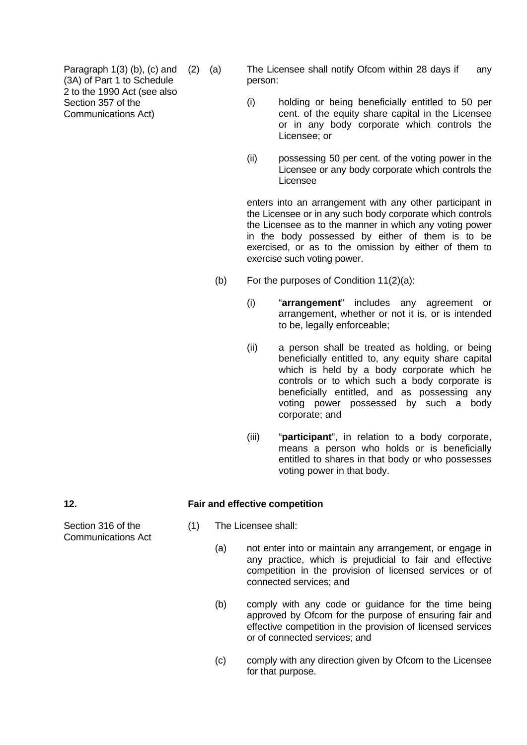Paragraph  $1(3)$  (b), (c) and (2) (a) (3A) of Part 1 to Schedule 2 to the 1990 Act (see also Section 357 of the Communications Act)

The Licensee shall notify Ofcom within 28 days if any person:

- (i) holding or being beneficially entitled to 50 per cent. of the equity share capital in the Licensee or in any body corporate which controls the Licensee; or
- (ii) possessing 50 per cent. of the voting power in the Licensee or any body corporate which controls the Licensee

 enters into an arrangement with any other participant in the Licensee or in any such body corporate which controls the Licensee as to the manner in which any voting power in the body possessed by either of them is to be exercised, or as to the omission by either of them to exercise such voting power.

- (b) For the purposes of Condition  $11(2)(a)$ :
	- (i) "**arrangement**" includes any agreement or arrangement, whether or not it is, or is intended to be, legally enforceable;
	- (ii) a person shall be treated as holding, or being beneficially entitled to, any equity share capital which is held by a body corporate which he controls or to which such a body corporate is beneficially entitled, and as possessing any voting power possessed by such a body corporate; and
	- (iii) "**participant**", in relation to a body corporate, means a person who holds or is beneficially entitled to shares in that body or who possesses voting power in that body.

#### **12. Fair and effective competition**

- (1) The Licensee shall:
	- (a) not enter into or maintain any arrangement, or engage in any practice, which is prejudicial to fair and effective competition in the provision of licensed services or of connected services; and
	- (b) comply with any code or guidance for the time being approved by Ofcom for the purpose of ensuring fair and effective competition in the provision of licensed services or of connected services; and
	- (c) comply with any direction given by Ofcom to the Licensee for that purpose.

Section 316 of the Communications Act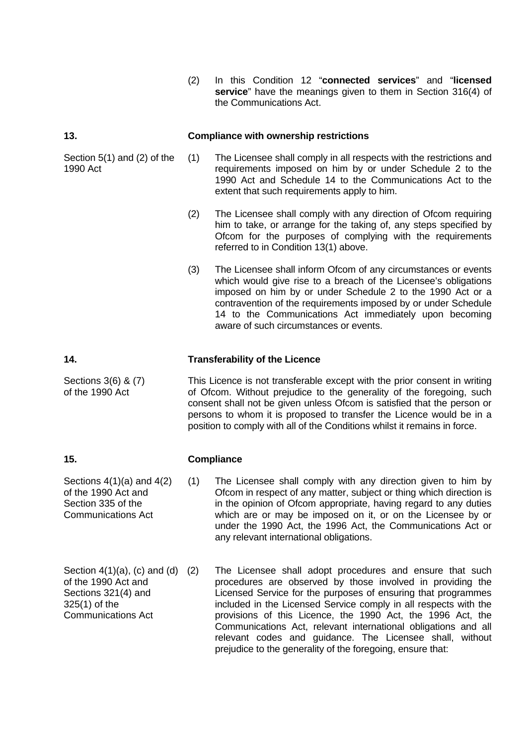(2) In this Condition 12 "**connected services**" and "**licensed service**" have the meanings given to them in Section 316(4) of the Communications Act.

#### **13. Compliance with ownership restrictions**

(1) The Licensee shall comply in all respects with the restrictions and requirements imposed on him by or under Schedule 2 to the 1990 Act and Schedule 14 to the Communications Act to the extent that such requirements apply to him.

- (2) The Licensee shall comply with any direction of Ofcom requiring him to take, or arrange for the taking of, any steps specified by Ofcom for the purposes of complying with the requirements referred to in Condition 13(1) above.
- (3) The Licensee shall inform Ofcom of any circumstances or events which would give rise to a breach of the Licensee's obligations imposed on him by or under Schedule 2 to the 1990 Act or a contravention of the requirements imposed by or under Schedule 14 to the Communications Act immediately upon becoming aware of such circumstances or events.

#### **14. Transferability of the Licence**

This Licence is not transferable except with the prior consent in writing of Ofcom. Without prejudice to the generality of the foregoing, such consent shall not be given unless Ofcom is satisfied that the person or persons to whom it is proposed to transfer the Licence would be in a position to comply with all of the Conditions whilst it remains in force.

#### **15. Compliance**

(1) The Licensee shall comply with any direction given to him by Ofcom in respect of any matter, subject or thing which direction is in the opinion of Ofcom appropriate, having regard to any duties which are or may be imposed on it, or on the Licensee by or under the 1990 Act, the 1996 Act, the Communications Act or any relevant international obligations.

Communications Act The Licensee shall adopt procedures and ensure that such procedures are observed by those involved in providing the Licensed Service for the purposes of ensuring that programmes included in the Licensed Service comply in all respects with the provisions of this Licence, the 1990 Act, the 1996 Act, the Communications Act, relevant international obligations and all relevant codes and guidance. The Licensee shall, without prejudice to the generality of the foregoing, ensure that:

Sections 3(6) & (7) of the 1990 Act

Sections 4(1)(a) and 4(2) of the 1990 Act and

Section  $4(1)(a)$ , (c) and (d)  $(2)$ of the 1990 Act and Sections 321(4) and 325(1) of the

Section 335 of the

Communications Act

Section 5(1) and (2) of the 1990 Act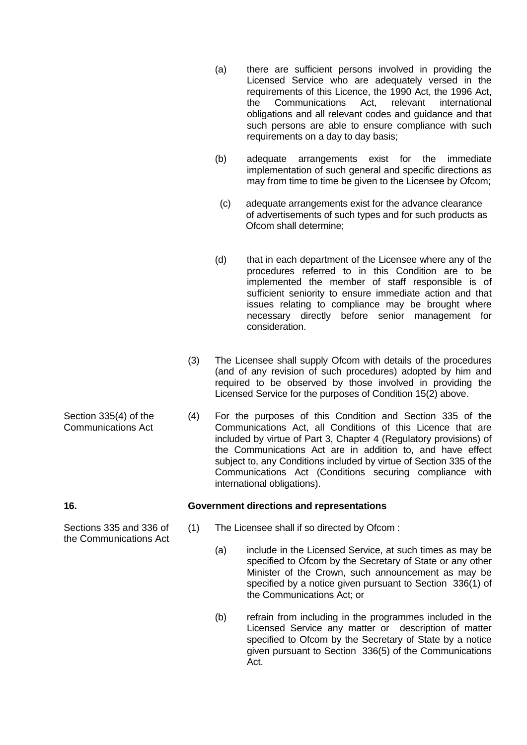- (a) there are sufficient persons involved in providing the Licensed Service who are adequately versed in the requirements of this Licence, the 1990 Act, the 1996 Act, the Communications Act, relevant international obligations and all relevant codes and guidance and that such persons are able to ensure compliance with such requirements on a day to day basis;
- (b) adequate arrangements exist for the immediate implementation of such general and specific directions as may from time to time be given to the Licensee by Ofcom;
- (c) adequate arrangements exist for the advance clearance of advertisements of such types and for such products as Ofcom shall determine;
- (d) that in each department of the Licensee where any of the procedures referred to in this Condition are to be implemented the member of staff responsible is of sufficient seniority to ensure immediate action and that issues relating to compliance may be brought where necessary directly before senior management for consideration.
- (3) The Licensee shall supply Ofcom with details of the procedures (and of any revision of such procedures) adopted by him and required to be observed by those involved in providing the Licensed Service for the purposes of Condition 15(2) above.
- (4) For the purposes of this Condition and Section 335 of the Communications Act, all Conditions of this Licence that are included by virtue of Part 3, Chapter 4 (Regulatory provisions) of the Communications Act are in addition to, and have effect subject to, any Conditions included by virtue of Section 335 of the Communications Act (Conditions securing compliance with international obligations).

### **16. Government directions and representations**

- (1) The Licensee shall if so directed by Ofcom :
	- (a) include in the Licensed Service, at such times as may be specified to Ofcom by the Secretary of State or any other Minister of the Crown, such announcement as may be specified by a notice given pursuant to Section 336(1) of the Communications Act; or
	- (b) refrain from including in the programmes included in the Licensed Service any matter or description of matter specified to Ofcom by the Secretary of State by a notice given pursuant to Section 336(5) of the Communications Act.

Sections 335 and 336 of the Communications Act

Section 335(4) of the Communications Act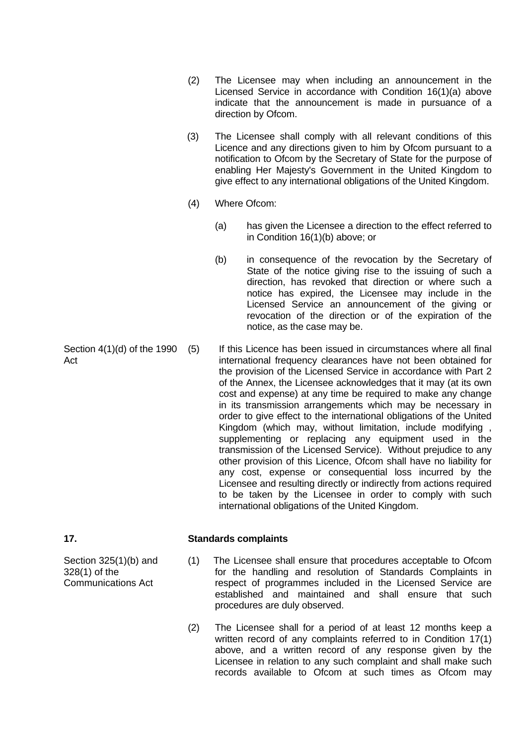- (2) The Licensee may when including an announcement in the Licensed Service in accordance with Condition 16(1)(a) above indicate that the announcement is made in pursuance of a direction by Ofcom.
- (3) The Licensee shall comply with all relevant conditions of this Licence and any directions given to him by Ofcom pursuant to a notification to Ofcom by the Secretary of State for the purpose of enabling Her Majesty's Government in the United Kingdom to give effect to any international obligations of the United Kingdom.
- (4) Where Ofcom:
	- (a) has given the Licensee a direction to the effect referred to in Condition 16(1)(b) above; or
	- (b) in consequence of the revocation by the Secretary of State of the notice giving rise to the issuing of such a direction, has revoked that direction or where such a notice has expired, the Licensee may include in the Licensed Service an announcement of the giving or revocation of the direction or of the expiration of the notice, as the case may be.
- Act (5) If this Licence has been issued in circumstances where all final international frequency clearances have not been obtained for the provision of the Licensed Service in accordance with Part 2 of the Annex, the Licensee acknowledges that it may (at its own cost and expense) at any time be required to make any change in its transmission arrangements which may be necessary in order to give effect to the international obligations of the United Kingdom (which may, without limitation, include modifying , supplementing or replacing any equipment used in the transmission of the Licensed Service). Without prejudice to any other provision of this Licence, Ofcom shall have no liability for any cost, expense or consequential loss incurred by the Licensee and resulting directly or indirectly from actions required to be taken by the Licensee in order to comply with such international obligations of the United Kingdom.

### **17. Standards complaints**

- (1) The Licensee shall ensure that procedures acceptable to Ofcom for the handling and resolution of Standards Complaints in respect of programmes included in the Licensed Service are established and maintained and shall ensure that such procedures are duly observed.
- (2) The Licensee shall for a period of at least 12 months keep a written record of any complaints referred to in Condition 17(1) above, and a written record of any response given by the Licensee in relation to any such complaint and shall make such records available to Ofcom at such times as Ofcom may

Section 4(1)(d) of the 1990

Section 325(1)(b) and 328(1) of the Communications Act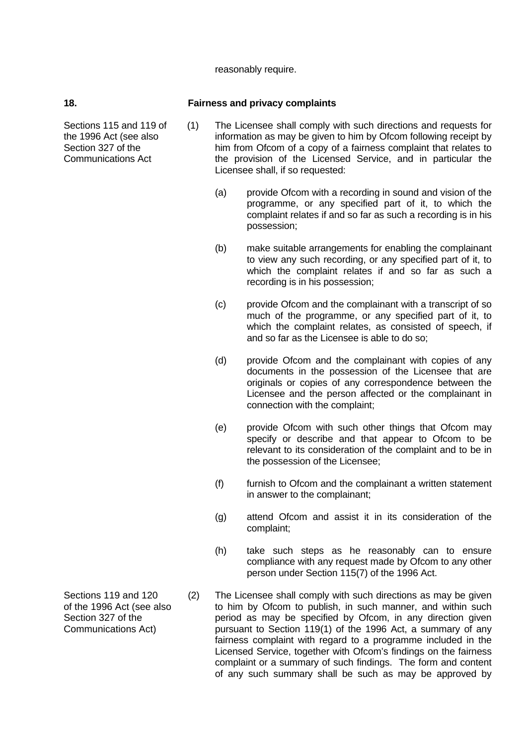reasonably require.

### **18. Fairness and privacy complaints**

- (1) The Licensee shall comply with such directions and requests for information as may be given to him by Ofcom following receipt by him from Ofcom of a copy of a fairness complaint that relates to the provision of the Licensed Service, and in particular the Licensee shall, if so requested:
	- (a) provide Ofcom with a recording in sound and vision of the programme, or any specified part of it, to which the complaint relates if and so far as such a recording is in his possession;
	- (b) make suitable arrangements for enabling the complainant to view any such recording, or any specified part of it, to which the complaint relates if and so far as such a recording is in his possession;
	- (c) provide Ofcom and the complainant with a transcript of so much of the programme, or any specified part of it, to which the complaint relates, as consisted of speech, if and so far as the Licensee is able to do so;
	- (d) provide Ofcom and the complainant with copies of any documents in the possession of the Licensee that are originals or copies of any correspondence between the Licensee and the person affected or the complainant in connection with the complaint;
	- (e) provide Ofcom with such other things that Ofcom may specify or describe and that appear to Ofcom to be relevant to its consideration of the complaint and to be in the possession of the Licensee;
	- (f) furnish to Ofcom and the complainant a written statement in answer to the complainant;
	- (g) attend Ofcom and assist it in its consideration of the complaint;
	- (h) take such steps as he reasonably can to ensure compliance with any request made by Ofcom to any other person under Section 115(7) of the 1996 Act.
	- (2) The Licensee shall comply with such directions as may be given to him by Ofcom to publish, in such manner, and within such period as may be specified by Ofcom, in any direction given pursuant to Section 119(1) of the 1996 Act, a summary of any fairness complaint with regard to a programme included in the Licensed Service, together with Ofcom's findings on the fairness complaint or a summary of such findings. The form and content of any such summary shall be such as may be approved by
- Sections 119 and 120 of the 1996 Act (see also Section 327 of the Communications Act)

Sections 115 and 119 of the 1996 Act (see also Section 327 of the Communications Act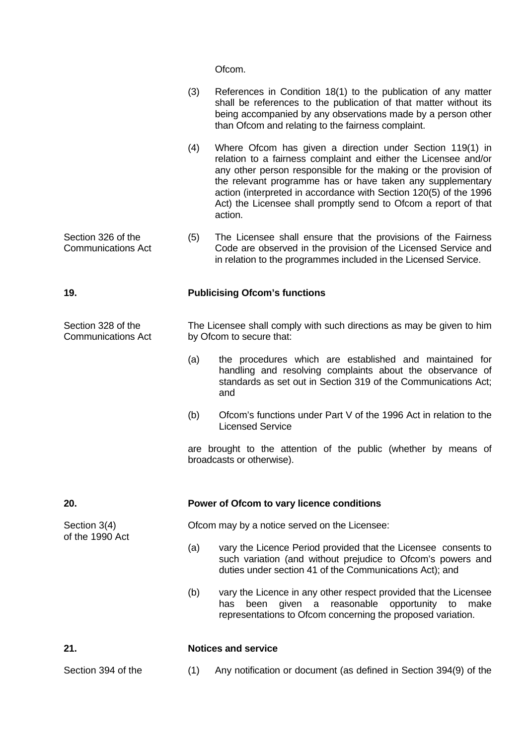Ofcom.

|                                                 | (3)                                           | References in Condition 18(1) to the publication of any matter<br>shall be references to the publication of that matter without its<br>being accompanied by any observations made by a person other<br>than Ofcom and relating to the fairness complaint.                                                                                                                                                        |  |  |
|-------------------------------------------------|-----------------------------------------------|------------------------------------------------------------------------------------------------------------------------------------------------------------------------------------------------------------------------------------------------------------------------------------------------------------------------------------------------------------------------------------------------------------------|--|--|
|                                                 | (4)                                           | Where Ofcom has given a direction under Section 119(1) in<br>relation to a fairness complaint and either the Licensee and/or<br>any other person responsible for the making or the provision of<br>the relevant programme has or have taken any supplementary<br>action (interpreted in accordance with Section 120(5) of the 1996<br>Act) the Licensee shall promptly send to Ofcom a report of that<br>action. |  |  |
| Section 326 of the<br><b>Communications Act</b> | (5)                                           | The Licensee shall ensure that the provisions of the Fairness<br>Code are observed in the provision of the Licensed Service and<br>in relation to the programmes included in the Licensed Service.                                                                                                                                                                                                               |  |  |
| 19.                                             |                                               | <b>Publicising Ofcom's functions</b>                                                                                                                                                                                                                                                                                                                                                                             |  |  |
| Section 328 of the<br><b>Communications Act</b> |                                               | The Licensee shall comply with such directions as may be given to him<br>by Ofcom to secure that:                                                                                                                                                                                                                                                                                                                |  |  |
|                                                 | (a)                                           | the procedures which are established and maintained for<br>handling and resolving complaints about the observance of<br>standards as set out in Section 319 of the Communications Act;<br>and                                                                                                                                                                                                                    |  |  |
|                                                 | (b)                                           | Ofcom's functions under Part V of the 1996 Act in relation to the<br><b>Licensed Service</b>                                                                                                                                                                                                                                                                                                                     |  |  |
|                                                 |                                               | are brought to the attention of the public (whether by means of<br>broadcasts or otherwise).                                                                                                                                                                                                                                                                                                                     |  |  |
| 20.                                             |                                               | Power of Ofcom to vary licence conditions                                                                                                                                                                                                                                                                                                                                                                        |  |  |
| Section 3(4)<br>of the 1990 Act                 | Ofcom may by a notice served on the Licensee: |                                                                                                                                                                                                                                                                                                                                                                                                                  |  |  |
|                                                 | (a)                                           | vary the Licence Period provided that the Licensee consents to<br>such variation (and without prejudice to Ofcom's powers and<br>duties under section 41 of the Communications Act); and                                                                                                                                                                                                                         |  |  |
|                                                 | (b)                                           | vary the Licence in any other respect provided that the Licensee<br>been given a reasonable opportunity to make<br>has<br>representations to Ofcom concerning the proposed variation.                                                                                                                                                                                                                            |  |  |
| 21.                                             |                                               | <b>Notices and service</b>                                                                                                                                                                                                                                                                                                                                                                                       |  |  |
| Section 394 of the                              | (1)                                           | Any notification or document (as defined in Section 394(9) of the                                                                                                                                                                                                                                                                                                                                                |  |  |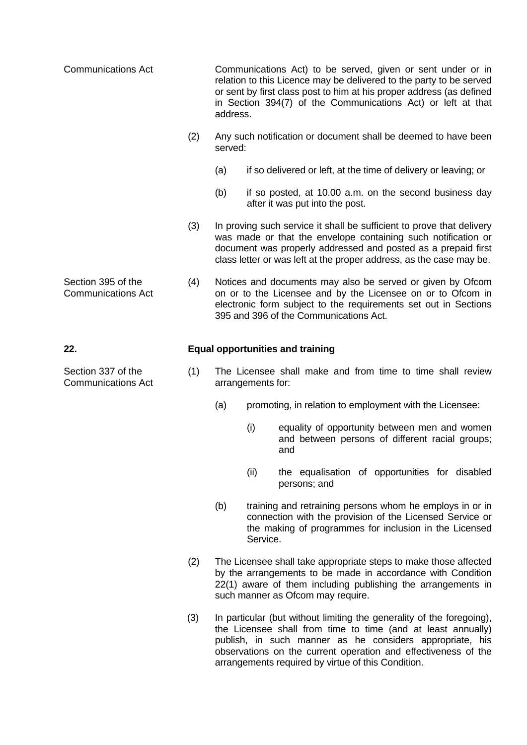| <b>Communications Act</b>                       |     | Communications Act) to be served, given or sent under or in<br>relation to this Licence may be delivered to the party to be served<br>or sent by first class post to him at his proper address (as defined<br>in Section 394(7) of the Communications Act) or left at that<br>address. |                                                                                                                                                                                                                                                                                |                                                                                                                                                                                |  |  |
|-------------------------------------------------|-----|----------------------------------------------------------------------------------------------------------------------------------------------------------------------------------------------------------------------------------------------------------------------------------------|--------------------------------------------------------------------------------------------------------------------------------------------------------------------------------------------------------------------------------------------------------------------------------|--------------------------------------------------------------------------------------------------------------------------------------------------------------------------------|--|--|
|                                                 | (2) |                                                                                                                                                                                                                                                                                        | Any such notification or document shall be deemed to have been<br>served:                                                                                                                                                                                                      |                                                                                                                                                                                |  |  |
|                                                 |     | (a)                                                                                                                                                                                                                                                                                    |                                                                                                                                                                                                                                                                                | if so delivered or left, at the time of delivery or leaving; or                                                                                                                |  |  |
|                                                 |     | (b)                                                                                                                                                                                                                                                                                    |                                                                                                                                                                                                                                                                                | if so posted, at 10.00 a.m. on the second business day<br>after it was put into the post.                                                                                      |  |  |
|                                                 | (3) |                                                                                                                                                                                                                                                                                        | In proving such service it shall be sufficient to prove that delivery<br>was made or that the envelope containing such notification or<br>document was properly addressed and posted as a prepaid first<br>class letter or was left at the proper address, as the case may be. |                                                                                                                                                                                |  |  |
| Section 395 of the<br><b>Communications Act</b> | (4) | Notices and documents may also be served or given by Ofcom<br>on or to the Licensee and by the Licensee on or to Ofcom in<br>electronic form subject to the requirements set out in Sections<br>395 and 396 of the Communications Act.                                                 |                                                                                                                                                                                                                                                                                |                                                                                                                                                                                |  |  |
| 22.                                             |     |                                                                                                                                                                                                                                                                                        |                                                                                                                                                                                                                                                                                | <b>Equal opportunities and training</b>                                                                                                                                        |  |  |
| Section 337 of the<br><b>Communications Act</b> | (1) |                                                                                                                                                                                                                                                                                        | arrangements for:                                                                                                                                                                                                                                                              | The Licensee shall make and from time to time shall review                                                                                                                     |  |  |
|                                                 |     | (a)                                                                                                                                                                                                                                                                                    |                                                                                                                                                                                                                                                                                | promoting, in relation to employment with the Licensee:                                                                                                                        |  |  |
|                                                 |     |                                                                                                                                                                                                                                                                                        | (i)                                                                                                                                                                                                                                                                            | equality of opportunity between men and women<br>and between persons of different racial groups;<br>and                                                                        |  |  |
|                                                 |     |                                                                                                                                                                                                                                                                                        | (ii)                                                                                                                                                                                                                                                                           | the equalisation of opportunities for disabled<br>persons; and                                                                                                                 |  |  |
|                                                 |     | (b)                                                                                                                                                                                                                                                                                    | Service.                                                                                                                                                                                                                                                                       | training and retraining persons whom he employs in or in<br>connection with the provision of the Licensed Service or<br>the making of programmes for inclusion in the Licensed |  |  |
|                                                 | (2) |                                                                                                                                                                                                                                                                                        | The Licensee shall take appropriate steps to make those affected<br>by the arrangements to be made in accordance with Condition<br>22(1) aware of them including publishing the arrangements in<br>such manner as Ofcom may require.                                           |                                                                                                                                                                                |  |  |
| (3)                                             |     |                                                                                                                                                                                                                                                                                        | In particular (but without limiting the generality of the foregoing),<br>the Licensee shall from time to time (and at least annually)                                                                                                                                          |                                                                                                                                                                                |  |  |

the Licensee shall from time to time (and at least annually) publish, in such manner as he considers appropriate, his observations on the current operation and effectiveness of the arrangements required by virtue of this Condition.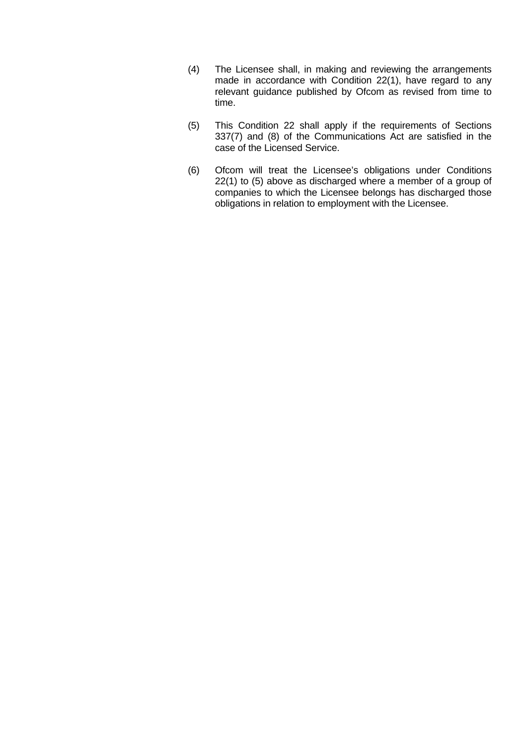- (4) The Licensee shall, in making and reviewing the arrangements made in accordance with Condition 22(1), have regard to any relevant guidance published by Ofcom as revised from time to time.
- (5) This Condition 22 shall apply if the requirements of Sections 337(7) and (8) of the Communications Act are satisfied in the case of the Licensed Service.
- (6) Ofcom will treat the Licensee's obligations under Conditions 22(1) to (5) above as discharged where a member of a group of companies to which the Licensee belongs has discharged those obligations in relation to employment with the Licensee.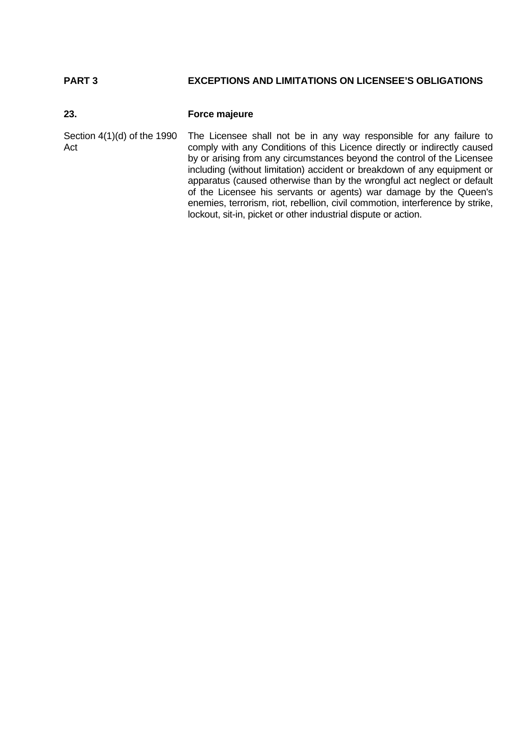## **PART 3 EXCEPTIONS AND LIMITATIONS ON LICENSEE'S OBLIGATIONS**

## **23. Force majeure**

Section 4(1)(d) of the 1990 Act The Licensee shall not be in any way responsible for any failure to comply with any Conditions of this Licence directly or indirectly caused by or arising from any circumstances beyond the control of the Licensee including (without limitation) accident or breakdown of any equipment or apparatus (caused otherwise than by the wrongful act neglect or default of the Licensee his servants or agents) war damage by the Queen's enemies, terrorism, riot, rebellion, civil commotion, interference by strike, lockout, sit-in, picket or other industrial dispute or action.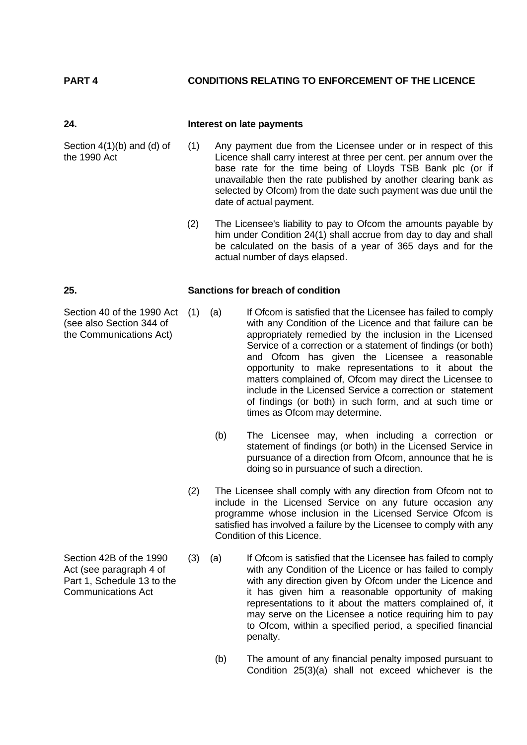## **PART 4 CONDITIONS RELATING TO ENFORCEMENT OF THE LICENCE**

#### **24. Interest on late payments**

Section 4(1)(b) and (d) of the 1990 Act

- (1) Any payment due from the Licensee under or in respect of this Licence shall carry interest at three per cent. per annum over the base rate for the time being of Lloyds TSB Bank plc (or if unavailable then the rate published by another clearing bank as selected by Ofcom) from the date such payment was due until the date of actual payment.
	- (2) The Licensee's liability to pay to Ofcom the amounts payable by him under Condition 24(1) shall accrue from day to day and shall be calculated on the basis of a year of 365 days and for the actual number of days elapsed.

#### **25. Sanctions for breach of condition**

- If Ofcom is satisfied that the Licensee has failed to comply with any Condition of the Licence and that failure can be appropriately remedied by the inclusion in the Licensed Service of a correction or a statement of findings (or both) and Ofcom has given the Licensee a reasonable opportunity to make representations to it about the matters complained of, Ofcom may direct the Licensee to include in the Licensed Service a correction or statement of findings (or both) in such form, and at such time or times as Ofcom may determine.
	- (b) The Licensee may, when including a correction or statement of findings (or both) in the Licensed Service in pursuance of a direction from Ofcom, announce that he is doing so in pursuance of such a direction.
	- (2) The Licensee shall comply with any direction from Ofcom not to include in the Licensed Service on any future occasion any programme whose inclusion in the Licensed Service Ofcom is satisfied has involved a failure by the Licensee to comply with any Condition of this Licence.
	- (3) (a) If Ofcom is satisfied that the Licensee has failed to comply with any Condition of the Licence or has failed to comply with any direction given by Ofcom under the Licence and it has given him a reasonable opportunity of making representations to it about the matters complained of, it may serve on the Licensee a notice requiring him to pay to Ofcom, within a specified period, a specified financial penalty.
		- (b) The amount of any financial penalty imposed pursuant to Condition 25(3)(a) shall not exceed whichever is the

Section 42B of the 1990 Act (see paragraph 4 of Part 1, Schedule 13 to the Communications Act

Section 40 of the 1990 Act (1) (a) (see also Section 344 of the Communications Act)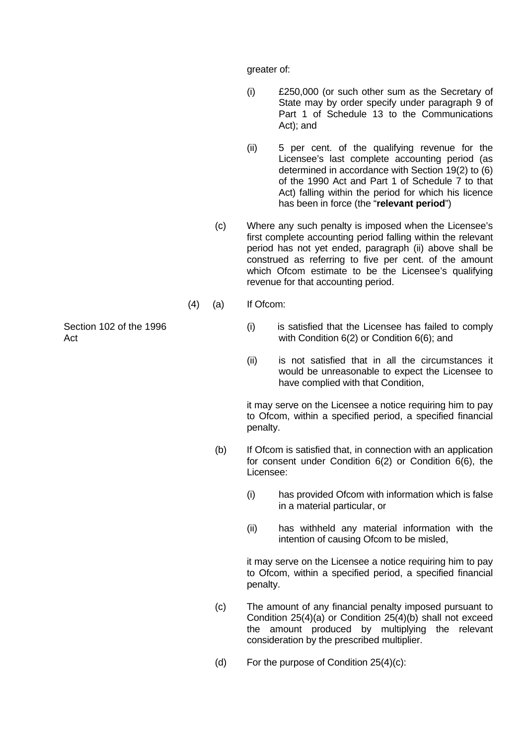greater of:

- (i) £250,000 (or such other sum as the Secretary of State may by order specify under paragraph 9 of Part 1 of Schedule 13 to the Communications Act); and
- (ii) 5 per cent. of the qualifying revenue for the Licensee's last complete accounting period (as determined in accordance with Section 19(2) to (6) of the 1990 Act and Part 1 of Schedule 7 to that Act) falling within the period for which his licence has been in force (the "**relevant period**")
- (c) Where any such penalty is imposed when the Licensee's first complete accounting period falling within the relevant period has not yet ended, paragraph (ii) above shall be construed as referring to five per cent. of the amount which Ofcom estimate to be the Licensee's qualifying revenue for that accounting period.
- (4) (a) If Ofcom:
	- (i) is satisfied that the Licensee has failed to comply with Condition 6(2) or Condition 6(6); and
	- (ii) is not satisfied that in all the circumstances it would be unreasonable to expect the Licensee to have complied with that Condition,

it may serve on the Licensee a notice requiring him to pay to Ofcom, within a specified period, a specified financial penalty.

- (b) If Ofcom is satisfied that, in connection with an application for consent under Condition 6(2) or Condition 6(6), the Licensee:
	- (i) has provided Ofcom with information which is false in a material particular, or
	- (ii) has withheld any material information with the intention of causing Ofcom to be misled,

 it may serve on the Licensee a notice requiring him to pay to Ofcom, within a specified period, a specified financial penalty.

- (c) The amount of any financial penalty imposed pursuant to Condition 25(4)(a) or Condition 25(4)(b) shall not exceed the amount produced by multiplying the relevant consideration by the prescribed multiplier.
- (d) For the purpose of Condition 25(4)(c):

Section 102 of the 1996 Act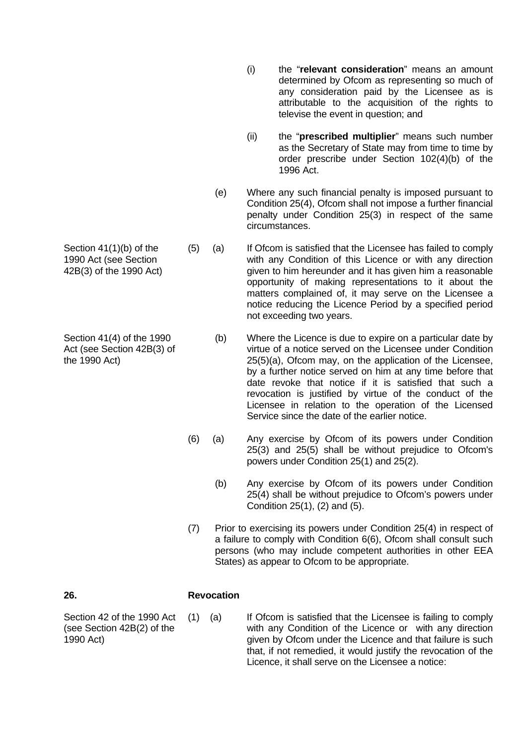- (i) the "**relevant consideration**" means an amount determined by Ofcom as representing so much of any consideration paid by the Licensee as is attributable to the acquisition of the rights to televise the event in question; and
- (ii) the "**prescribed multiplier**" means such number as the Secretary of State may from time to time by order prescribe under Section 102(4)(b) of the 1996 Act.
- (e) Where any such financial penalty is imposed pursuant to Condition 25(4), Ofcom shall not impose a further financial penalty under Condition 25(3) in respect of the same circumstances.
- (5) (a) If Ofcom is satisfied that the Licensee has failed to comply with any Condition of this Licence or with any direction given to him hereunder and it has given him a reasonable opportunity of making representations to it about the matters complained of, it may serve on the Licensee a notice reducing the Licence Period by a specified period not exceeding two years.
	- (b) Where the Licence is due to expire on a particular date by virtue of a notice served on the Licensee under Condition 25(5)(a), Ofcom may, on the application of the Licensee, by a further notice served on him at any time before that date revoke that notice if it is satisfied that such a revocation is justified by virtue of the conduct of the Licensee in relation to the operation of the Licensed Service since the date of the earlier notice.
	- (6) (a) Any exercise by Ofcom of its powers under Condition 25(3) and 25(5) shall be without prejudice to Ofcom's powers under Condition 25(1) and 25(2).
		- (b) Any exercise by Ofcom of its powers under Condition 25(4) shall be without prejudice to Ofcom's powers under Condition 25(1), (2) and (5).
	- (7) Prior to exercising its powers under Condition 25(4) in respect of a failure to comply with Condition 6(6), Ofcom shall consult such persons (who may include competent authorities in other EEA States) as appear to Ofcom to be appropriate.

### **26. Revocation**

Section 42 of the 1990 Act (see Section 42B(2) of the 1990 Act)

(1) (a) If Ofcom is satisfied that the Licensee is failing to comply with any Condition of the Licence or with any direction given by Ofcom under the Licence and that failure is such that, if not remedied, it would justify the revocation of the Licence, it shall serve on the Licensee a notice:

Section 41(1)(b) of the 1990 Act (see Section 42B(3) of the 1990 Act)

Section 41(4) of the 1990 Act (see Section 42B(3) of the 1990 Act)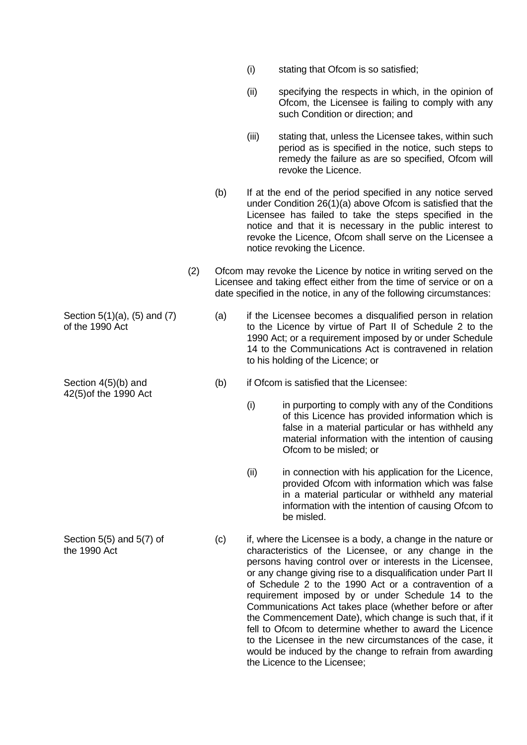- (i) stating that Ofcom is so satisfied;
- (ii) specifying the respects in which, in the opinion of Ofcom, the Licensee is failing to comply with any such Condition or direction; and
- (iii) stating that, unless the Licensee takes, within such period as is specified in the notice, such steps to remedy the failure as are so specified, Ofcom will revoke the Licence.
- (b) If at the end of the period specified in any notice served under Condition 26(1)(a) above Ofcom is satisfied that the Licensee has failed to take the steps specified in the notice and that it is necessary in the public interest to revoke the Licence, Ofcom shall serve on the Licensee a notice revoking the Licence.
- (2) Ofcom may revoke the Licence by notice in writing served on the Licensee and taking effect either from the time of service or on a date specified in the notice, in any of the following circumstances:
	- (a) if the Licensee becomes a disqualified person in relation to the Licence by virtue of Part II of Schedule 2 to the 1990 Act; or a requirement imposed by or under Schedule 14 to the Communications Act is contravened in relation to his holding of the Licence; or
	- (b) if Ofcom is satisfied that the Licensee:
		- (i) in purporting to comply with any of the Conditions of this Licence has provided information which is false in a material particular or has withheld any material information with the intention of causing Ofcom to be misled; or
		- (ii) in connection with his application for the Licence, provided Ofcom with information which was false in a material particular or withheld any material information with the intention of causing Ofcom to be misled.
	- (c) if, where the Licensee is a body, a change in the nature or characteristics of the Licensee, or any change in the persons having control over or interests in the Licensee, or any change giving rise to a disqualification under Part II of Schedule 2 to the 1990 Act or a contravention of a requirement imposed by or under Schedule 14 to the Communications Act takes place (whether before or after the Commencement Date), which change is such that, if it fell to Ofcom to determine whether to award the Licence to the Licensee in the new circumstances of the case, it would be induced by the change to refrain from awarding the Licence to the Licensee;

Section 5(1)(a), (5) and (7) of the 1990 Act

Section 4(5)(b) and 42(5)of the 1990 Act

Section 5(5) and 5(7) of the 1990 Act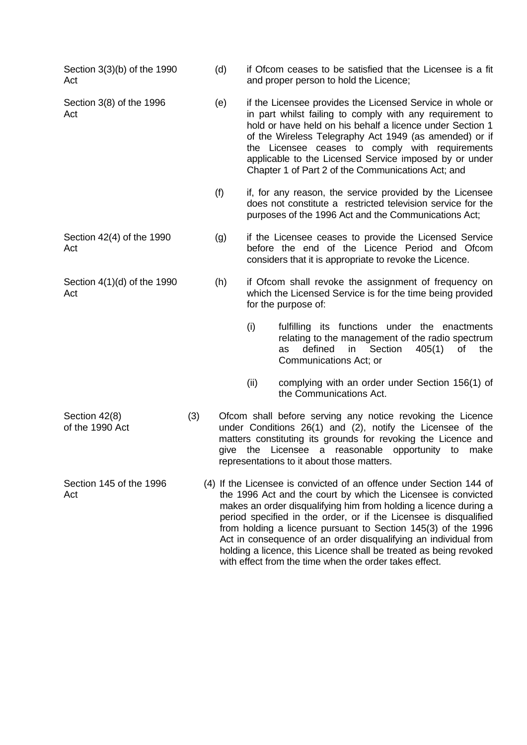Section 3(3)(b) of the 1990 Act Section 3(8) of the 1996 Act

Act

Act

Section 4(1)(d) of the 1990

- (d) if Ofcom ceases to be satisfied that the Licensee is a fit and proper person to hold the Licence;
- (e) if the Licensee provides the Licensed Service in whole or in part whilst failing to comply with any requirement to hold or have held on his behalf a licence under Section 1 of the Wireless Telegraphy Act 1949 (as amended) or if the Licensee ceases to comply with requirements applicable to the Licensed Service imposed by or under Chapter 1 of Part 2 of the Communications Act; and
- (f) if, for any reason, the service provided by the Licensee does not constitute a restricted television service for the purposes of the 1996 Act and the Communications Act;
- Section 42(4) of the 1990 (g) if the Licensee ceases to provide the Licensed Service before the end of the Licence Period and Ofcom considers that it is appropriate to revoke the Licence.
	- (h) if Ofcom shall revoke the assignment of frequency on which the Licensed Service is for the time being provided for the purpose of:
		- (i) fulfilling its functions under the enactments relating to the management of the radio spectrum as defined in Section 405(1) of the Communications Act; or
		- (ii) complying with an order under Section 156(1) of the Communications Act.

Section 42(8) of the 1990 Act (3) Ofcom shall before serving any notice revoking the Licence under Conditions 26(1) and (2), notify the Licensee of the matters constituting its grounds for revoking the Licence and give the Licensee a reasonable opportunity to make representations to it about those matters.

Section 145 of the 1996 Act (4) If the Licensee is convicted of an offence under Section 144 of the 1996 Act and the court by which the Licensee is convicted makes an order disqualifying him from holding a licence during a period specified in the order, or if the Licensee is disqualified from holding a licence pursuant to Section 145(3) of the 1996 Act in consequence of an order disqualifying an individual from holding a licence, this Licence shall be treated as being revoked with effect from the time when the order takes effect.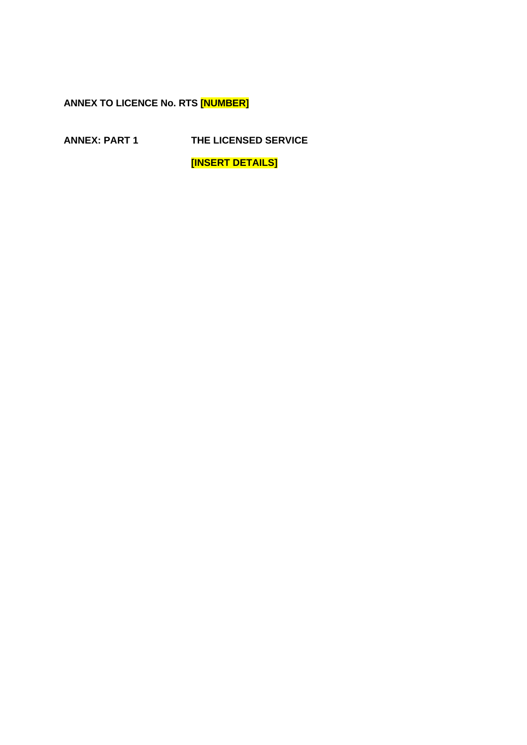**ANNEX TO LICENCE No. RTS [NUMBER]** 

**ANNEX: PART 1 THE LICENSED SERVICE** 

**[INSERT DETAILS]**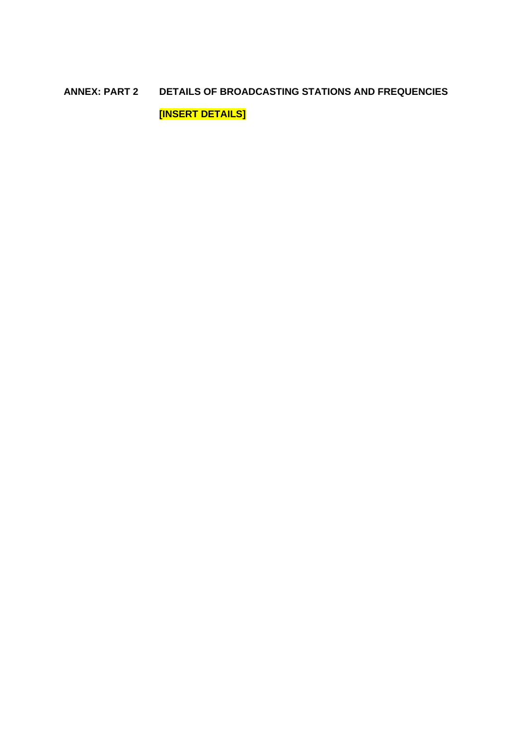# **ANNEX: PART 2 DETAILS OF BROADCASTING STATIONS AND FREQUENCIES [INSERT DETAILS]**